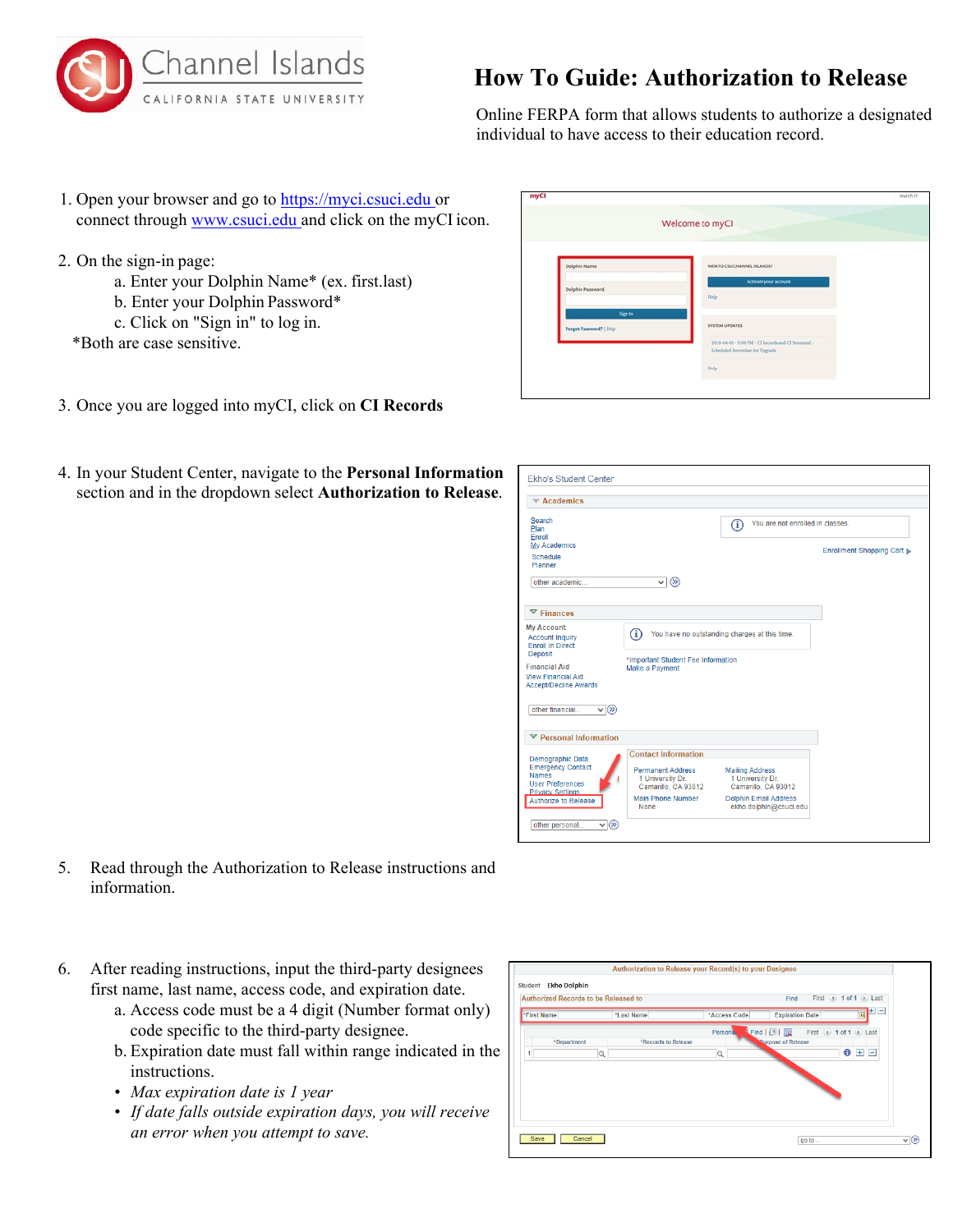

## **How To Guide: Authorization to Release**

Online FERPA form that allows students to authorize a designated individual to have access to their education record.

- 1. Open your browser and go to https://myci.csuci.edu or connect through [www.csuci.edu a](http://www.csuci.edu/)nd click on the myCI icon.
- 2. On the sign-in page:
	- a. Enter your Dolphin Name\* (ex. first.last)
	- b. Enter your Dolphin Password\*
		- c. Click on "Sign in" to log in.
	- \*Both are case sensitive.
- 3. Once you are logged into myCI, click on **CI Records**
- 4. In your Student Center, navigate to the **Personal Information** section and in the dropdown select **Authorization to Release**.

|                                   | Welcome to myCl                                                                                   |  |
|-----------------------------------|---------------------------------------------------------------------------------------------------|--|
| Dolphin Name                      | NEW TO CSU CHANNEL ISLANDS?                                                                       |  |
| Dolphin Password                  | Activate your account<br>Help                                                                     |  |
| Signin<br>Forgot Password?   Help | <b>SYSTEM UPDATES</b>                                                                             |  |
|                                   | 2019-04-05 - 5:00 PM - CI Records and CI Personnel -<br>Scheduled Doventiese for Upgrade<br>Help: |  |
|                                   |                                                                                                   |  |

| $\blacktriangledown$ Academics                                                                      |                                                                     |                                                                   |                            |
|-----------------------------------------------------------------------------------------------------|---------------------------------------------------------------------|-------------------------------------------------------------------|----------------------------|
| Search<br>Plan<br>Enroll<br><b>Mv Academics</b>                                                     |                                                                     | You are not enrolled in classes.<br>$\textcircled{\textsc{i}}$    | Enrollment Shopping Cart ▶ |
| Schedule<br>Planner                                                                                 |                                                                     |                                                                   |                            |
| other academic                                                                                      | $\circledR$<br>$\checkmark$                                         |                                                                   |                            |
| $\nabla$ Finances                                                                                   |                                                                     |                                                                   |                            |
| <b>My Account</b><br><b>Account Inquiry</b><br><b>Enroll In Direct</b>                              | G)                                                                  | You have no outstanding charges at this time.                     |                            |
| <b>Deposit</b><br><b>Financial Aid</b><br><b>View Financial Aid</b><br><b>Accept/Decline Awards</b> | *Important Student Fee Information<br>Make a Payment                |                                                                   |                            |
| other financial<br>$\vee$ (x)                                                                       |                                                                     |                                                                   |                            |
| $\triangledown$ Personal Information                                                                |                                                                     |                                                                   |                            |
| Demographic Data                                                                                    | <b>Contact Information</b>                                          |                                                                   |                            |
| <b>Emergency Contact</b><br><b>Names</b>                                                            | <b>Permanent Address</b><br>1 University Dr.<br>Camarillo, CA 93012 | <b>Mailing Address</b><br>1 University Dr.<br>Camarillo, CA 93012 |                            |
| <b>User Preferences</b><br><b>Privacy Settings</b>                                                  |                                                                     |                                                                   |                            |

- 5. Read through the Authorization to Release instructions and information.
- 6. After reading instructions, input the third-party designees first name, last name, access code, and expiration date.
	- a. Access code must be a 4 digit (Number format only) code specific to the third-party designee.
	- b. Expiration date must fall within range indicated in the instructions.
	- *Max expiration date is 1 year*
	- *If date falls outside expiration days, you will receive an error when you attempt to save.*